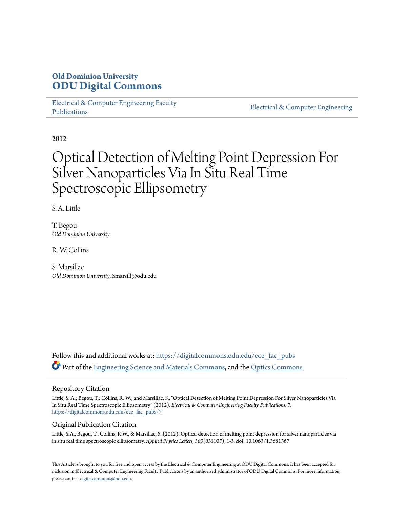## **Old Dominion University [ODU Digital Commons](https://digitalcommons.odu.edu?utm_source=digitalcommons.odu.edu%2Fece_fac_pubs%2F7&utm_medium=PDF&utm_campaign=PDFCoverPages)**

[Electrical & Computer Engineering Faculty](https://digitalcommons.odu.edu/ece_fac_pubs?utm_source=digitalcommons.odu.edu%2Fece_fac_pubs%2F7&utm_medium=PDF&utm_campaign=PDFCoverPages) [Publications](https://digitalcommons.odu.edu/ece_fac_pubs?utm_source=digitalcommons.odu.edu%2Fece_fac_pubs%2F7&utm_medium=PDF&utm_campaign=PDFCoverPages)

[Electrical & Computer Engineering](https://digitalcommons.odu.edu/ece?utm_source=digitalcommons.odu.edu%2Fece_fac_pubs%2F7&utm_medium=PDF&utm_campaign=PDFCoverPages)

2012

# Optical Detection of Melting Point Depression For Silver Nanoparticles Via In Situ Real Time Spectroscopic Ellipsometry

S. A. Little

T. Begou *Old Dominion University*

R. W. Collins

S. Marsillac *Old Dominion University*, Smarsill@odu.edu

Follow this and additional works at: [https://digitalcommons.odu.edu/ece\\_fac\\_pubs](https://digitalcommons.odu.edu/ece_fac_pubs?utm_source=digitalcommons.odu.edu%2Fece_fac_pubs%2F7&utm_medium=PDF&utm_campaign=PDFCoverPages) Part of the [Engineering Science and Materials Commons](http://network.bepress.com/hgg/discipline/279?utm_source=digitalcommons.odu.edu%2Fece_fac_pubs%2F7&utm_medium=PDF&utm_campaign=PDFCoverPages), and the [Optics Commons](http://network.bepress.com/hgg/discipline/204?utm_source=digitalcommons.odu.edu%2Fece_fac_pubs%2F7&utm_medium=PDF&utm_campaign=PDFCoverPages)

#### Repository Citation

Little, S. A.; Begou, T.; Collins, R. W.; and Marsillac, S., "Optical Detection of Melting Point Depression For Silver Nanoparticles Via In Situ Real Time Spectroscopic Ellipsometry" (2012). *Electrical & Computer Engineering Faculty Publications*. 7. [https://digitalcommons.odu.edu/ece\\_fac\\_pubs/7](https://digitalcommons.odu.edu/ece_fac_pubs/7?utm_source=digitalcommons.odu.edu%2Fece_fac_pubs%2F7&utm_medium=PDF&utm_campaign=PDFCoverPages)

### Original Publication Citation

Little, S.A., Begou, T., Collins, R.W., & Marsillac, S. (2012). Optical detection of melting point depression for silver nanoparticles via in situ real time spectroscopic ellipsometry. *Applied Physics Letters, 100*(051107), 1-3. doi: 10.1063/1.3681367

This Article is brought to you for free and open access by the Electrical & Computer Engineering at ODU Digital Commons. It has been accepted for inclusion in Electrical & Computer Engineering Faculty Publications by an authorized administrator of ODU Digital Commons. For more information, please contact [digitalcommons@odu.edu](mailto:digitalcommons@odu.edu).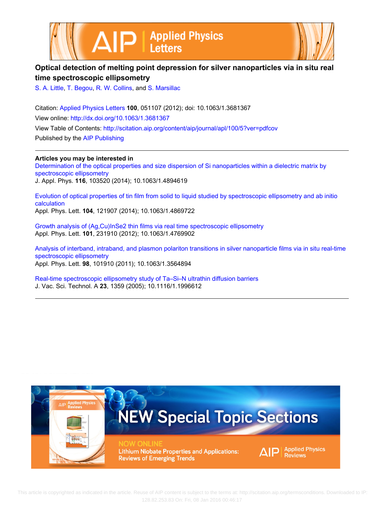



## **Optical detection of melting point depression for silver nanoparticles via in situ real time spectroscopic ellipsometry**

[S. A. Little,](http://scitation.aip.org/search?value1=S.+A.+Little&option1=author) [T. Begou,](http://scitation.aip.org/search?value1=T.+Begou&option1=author) [R. W. Collins,](http://scitation.aip.org/search?value1=R.+W.+Collins&option1=author) and [S. Marsillac](http://scitation.aip.org/search?value1=S.+Marsillac&option1=author)

Citation: [Applied Physics Letters](http://scitation.aip.org/content/aip/journal/apl?ver=pdfcov) **100**, 051107 (2012); doi: 10.1063/1.3681367 View online: <http://dx.doi.org/10.1063/1.3681367> View Table of Contents: <http://scitation.aip.org/content/aip/journal/apl/100/5?ver=pdfcov> Published by the [AIP Publishing](http://scitation.aip.org/content/aip?ver=pdfcov)

**Articles you may be interested in**

[Determination of the optical properties and size dispersion of Si nanoparticles within a dielectric matrix by](http://scitation.aip.org/content/aip/journal/jap/116/10/10.1063/1.4894619?ver=pdfcov) [spectroscopic ellipsometry](http://scitation.aip.org/content/aip/journal/jap/116/10/10.1063/1.4894619?ver=pdfcov) J. Appl. Phys. **116**, 103520 (2014); 10.1063/1.4894619

[Evolution of optical properties of tin film from solid to liquid studied by spectroscopic ellipsometry and ab initio](http://scitation.aip.org/content/aip/journal/apl/104/12/10.1063/1.4869722?ver=pdfcov) [calculation](http://scitation.aip.org/content/aip/journal/apl/104/12/10.1063/1.4869722?ver=pdfcov) Appl. Phys. Lett. **104**, 121907 (2014); 10.1063/1.4869722

[Growth analysis of \(Ag,Cu\)InSe2 thin films via real time spectroscopic ellipsometry](http://scitation.aip.org/content/aip/journal/apl/101/23/10.1063/1.4769902?ver=pdfcov) Appl. Phys. Lett. **101**, 231910 (2012); 10.1063/1.4769902

[Analysis of interband, intraband, and plasmon polariton transitions in silver nanoparticle films via in situ real-time](http://scitation.aip.org/content/aip/journal/apl/98/10/10.1063/1.3564894?ver=pdfcov) [spectroscopic ellipsometry](http://scitation.aip.org/content/aip/journal/apl/98/10/10.1063/1.3564894?ver=pdfcov) Appl. Phys. Lett. **98**, 101910 (2011); 10.1063/1.3564894

[Real-time spectroscopic ellipsometry study of Ta–Si–N ultrathin diffusion barriers](http://scitation.aip.org/content/avs/journal/jvsta/23/5/10.1116/1.1996612?ver=pdfcov) J. Vac. Sci. Technol. A **23**, 1359 (2005); 10.1116/1.1996612



 This article is copyrighted as indicated in the article. Reuse of AIP content is subject to the terms at: http://scitation.aip.org/termsconditions. Downloaded to IP: 128.82.253.83 On: Fri, 08 Jan 2016 00:46:17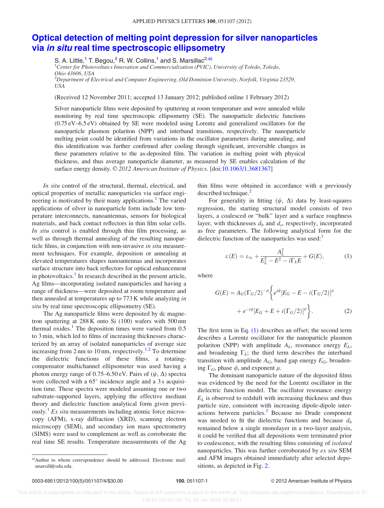## [Optical detection of melting point depression for silver nanoparticles](http://dx.doi.org/10.1063/1.3681367) via in situ [real time spectroscopic ellipsometry](http://dx.doi.org/10.1063/1.3681367)

S. A. Little,<sup>1</sup> T. Begou,<sup>2</sup> R. W. Collins,<sup>1</sup> and S. Marsillac<sup>2,a)</sup>

USA

<sup>1</sup>Center for Photovoltaics Innovation and Commercialization (PVIC), University of Toledo, Toledo, Ohio 43606, USA  $^2$ Department of Electrical and Computer Engineering, Old Dominion University, Norfolk, Virginia 23529,

(Received 12 November 2011; accepted 13 January 2012; published online 1 February 2012)

Silver nanoparticle films were deposited by sputtering at room temperature and were annealed while monitoring by real time spectroscopic ellipsometry (SE). The nanoparticle dielectric functions (0.75 eV–6.5 eV) obtained by SE were modeled using Lorentz and generalized oscillators for the nanoparticle plasmon polariton (NPP) and interband transitions, respectively. The nanoparticle melting point could be identified from variations in the oscillator parameters during annealing, and this identification was further confirmed after cooling through significant, irreversible changes in these parameters relative to the as-deposited film. The variation in melting point with physical thickness, and thus average nanoparticle diameter, as measured by SE enables calculation of the surface energy density. © 2012 American Institute of Physics. [doi:[10.1063/1.3681367\]](http://dx.doi.org/10.1063/1.3681367)

In situ control of the structural, thermal, electrical, and optical properties of metallic nanoparticles via surface engi-neering is motivated by their many applications.<sup>[1](#page-5-0)</sup> The varied applications of silver in nanoparticle form include low temperature interconnects, nanoantennas, sensors for biological materials, and back contact reflectors in thin film solar cells. In situ control is enabled through thin film processing, as well as through thermal annealing of the resulting nanoparticle films, in conjunction with non-invasive in situ measurement techniques. For example, deposition or annealing at elevated temperatures shapes nanoantennas and incorporates surface structure into back reflectors for optical enhancement in photovoltaics.<sup>[1](#page-5-0)</sup> In research described in the present article, Ag films—incorporating isolated nanoparticles and having a range of thickness—were deposited at room temperature and then annealed at temperatures up to 773 K while analyzing in situ by real time spectroscopic ellipsometry (SE).

The Ag nanoparticle films were deposited by dc magnetron sputtering at 288 K onto Si (100) wafers with 500 nm thermal oxides.<sup>[1](#page-5-0)</sup> The deposition times were varied from  $0.5$ to 3 min, which led to films of increasing thicknesses characterized by an array of isolated nanoparticles of average size increasing from 2 nm to 10 nm, respectively.<sup>[1,2](#page-5-0)</sup> To determine the dielectric functions of these films, a rotatingcompensator multichannel ellipsometer was used having a photon energy range of 0.75–6.50 eV. Pairs of  $(\psi, \Delta)$  spectra were collected with a  $65^\circ$  incidence angle and a 3 s acquisition time. These spectra were modeled assuming one or two substrate-supported layers, applying the effective medium theory and dielectric function analytical form given previously.<sup>1</sup> Ex situ measurements including atomic force microscopy (AFM), x-ray diffraction (XRD), scanning electron microscopy (SEM), and secondary ion mass spectrometry (SIMS) were used to complement as well as corroborate the real time SE results. Temperature measurements of the Ag thin films were obtained in accordance with a previously described technique.<sup>[2](#page-5-0)</sup>

For generality in fitting  $(\psi, \Delta)$  data by least-squares regression, the starting structural model consists of two layers, a coalesced or "bulk" layer and a surface roughness layer, with thicknesses  $d_b$  and  $d_s$ , respectively, incorporated as free parameters. The following analytical form for the dielectric function of the nanoparticles was used: $<sup>1</sup>$  $<sup>1</sup>$  $<sup>1</sup>$ </sup>

$$
\varepsilon(E) = \varepsilon_{\infty} + \frac{A_L^2}{E_L^2 - E^2 - i\Gamma_L E} + G(E),\tag{1}
$$

where

$$
G(E) = A_G(\Gamma_G/2)^{-\mu} \left\{ e^{i\phi} [E_G - E - i(\Gamma_G/2)]^{\mu} + e^{-i\phi} [E_G + E + i(\Gamma_G/2)]^{\mu} \right\}.
$$
 (2)

The first term in Eq. (1) describes an offset; the second term describes a Lorentz oscillator for the nanoparticle plasmon polariton (NPP) with amplitude  $A_L$ , resonance energy  $E_L$ , and broadening  $\Gamma_L$ ; the third term describes the interband transition with amplitude  $A_G$ , band gap energy  $E_G$ , broadening  $\Gamma_G$ , phase  $\phi$ , and exponent  $\mu$ .

The dominant nanoparticle nature of the deposited films was evidenced by the need for the Lorentz oscillator in the dielectric function model. The oscillator resonance energy  $E<sub>L</sub>$  is observed to redshift with increasing thickness and thus particle size, consistent with increasing dipole-dipole inter-actions between particles.<sup>[3](#page-5-0)</sup> Because no Drude component was needed to fit the dielectric functions and because  $d<sub>b</sub>$ remained below a single monolayer in a two-layer analysis, it could be verified that all depositions were terminated prior to coalescence, with the resulting films consisting of isolated nanoparticles. This was further corroborated by ex situ SEM and AFM images obtained immediately after selected depositions, as depicted in Fig. [2](#page-4-0).

a)Author to whom correspondence should be addressed. Electronic mail: smarsill@odu.edu.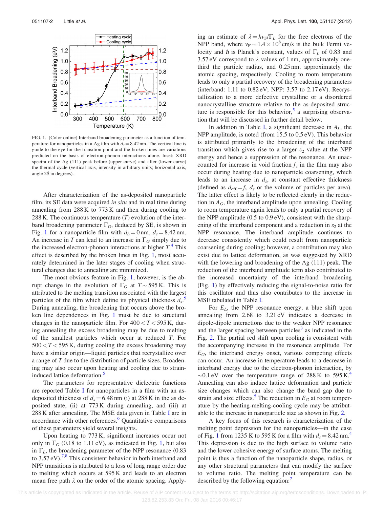<span id="page-3-0"></span>

FIG. 1. (Color online) Interband broadening parameter as a function of temperature for nanoparticles in a Ag film with  $d_s = 8.42$  nm. The vertical line is guide to the eye for the transition point and the broken lines are variations predicted on the basis of electron-phonon interactions alone. Inset: XRD spectra of the Ag (111) peak before (upper curve) and after (lower curve) the thermal cycle (vertical axis, intensity in arbitrary units; horizontal axis, angle  $2\theta$  in degrees).

After characterization of the as-deposited nanoparticle film, its SE data were acquired *in situ* and in real time during annealing from 288 K to 773 K and then during cooling to 288 K. The continuous temperature  $(T)$  evolution of the interband broadening parameter  $\Gamma_G$ , deduced by SE, is shown in Fig. 1 for a nanoparticle film with  $d_b = 0$  nm,  $d_s = 8.42$  nm. An increase in T can lead to an increase in  $\Gamma_G$  simply due to the increased electron-phonon interactions at higher  $T^4$  $T^4$ . This effect is described by the broken lines in Fig. 1, most accurately determined in the later stages of cooling when structural changes due to annealing are minimized.

The most obvious feature in Fig. 1, however, is the abrupt change in the evolution of  $\Gamma_G$  at  $T \sim 595$  K. This is attributed to the melting transition associated with the largest particles of the film which define its physical thickness  $d_s$ . During annealing, the broadening that occurs above the broken line dependences in Fig. 1 must be due to structural changes in the nanoparticle film. For  $400 < T < 595$  K, during annealing the excess broadening may be due to melting of the smallest particles which occur at reduced T. For  $500 < T < 595$  K, during cooling the excess broadening may have a similar origin—liquid particles that recrystallize over a range of T due to the distribution of particle sizes. Broadening may also occur upon heating and cooling due to strain-induced lattice deformation.<sup>[5](#page-5-0)</sup>

The parameters for representative dielectric functions are reported Table [I](#page-4-0) for nanoparticles in a film with an asdeposited thickness of  $d_s = 6.48$  nm (i) at 288 K in the as deposited state, (ii) at 773 K during annealing, and (iii) at 288 K after annealing. The MSE data given in Table [I](#page-4-0) are in accordance with other references.<sup>[6](#page-5-0)</sup> Quantitative comparisons of these parameters yield several insights.

Upon heating to 773 K, significant increases occur not only in  $\Gamma_G$  (0.18 to 1.11 eV), as indicated in Fig. 1, but also in  $\Gamma_L$ , the broadening parameter of the NPP resonance (0.83) to  $3.57 \text{ eV}$ ).<sup>[7,8](#page-5-0)</sup> This consistent behavior in both interband and NPP transitions is attributed to a loss of long range order due to melting which occurs at 595 K and leads to an electron mean free path  $\lambda$  on the order of the atomic spacing. Apply-

ing an estimate of  $\lambda = \hbar v_F / \Gamma_L$  for the free electrons of the NPP band, where  $v_F \sim 1.4 \times 10^8$  cm/s is the bulk Fermi velocity and  $\hbar$  is Planck's constant, values of  $\Gamma_L$  of 0.83 and 3.57 eV correspond to  $\lambda$  values of 1 nm, approximately onethird the particle radius, and 0.25 nm, approximately the atomic spacing, respectively. Cooling to room temperature leads to only a partial recovery of the broadening parameters (interband: 1.11 to 0.82 eV; NPP: 3.57 to 2.17 eV). Recrystallization to a more defective crystalline or a disordered nanocrystalline structure relative to the as-deposited structure is responsible for this behavior, $5$  a surprising observation that will be discussed in further detail below.

In addition in Table [I,](#page-4-0) a significant decrease in  $A_L$ , the NPP amplitude, is noted (from 15.5 to 0.5 eV). This behavior is attributed primarily to the broadening of the interband transition which gives rise to a larger  $\varepsilon_2$  value at the NPP energy and hence a suppression of the resonance. An unaccounted for increase in void fraction  $f<sub>v</sub>$  in the film may also occur during heating due to nanoparticle coarsening, which leads to an increase in  $d_s$ , at constant effective thickness (defined as  $d_{\text{eff}} = f_y d_s$  or the volume of particles per area). The latter effect is likely to be reflected clearly in the reduction in  $A_G$ , the interband amplitude upon annealing. Cooling to room temperature again leads to only a partial recovery of the NPP amplitude  $(0.5 \text{ to } 0.9 \text{ eV})$ , consistent with the sharpening of the interband component and a reduction in  $\varepsilon_2$  at the NPP resonance. The interband amplitude continues to decrease consistently which could result from nanoparticle coarsening during cooling; however, a contribution may also exist due to lattice deformation, as was suggested by XRD with the lowering and broadening of the Ag (111) peak. The reduction of the interband amplitude term also contributed to the increased uncertainty of the interband broadening (Fig. 1) by effectively reducing the signal-to-noise ratio for this oscillator and thus also contributes to the increase in MSE tabulated in Table [I.](#page-4-0)

For  $E_L$ , the NPP resonance energy, a blue shift upon annealing from 2.68 to 3.21 eV indicates a decrease in dipole-dipole interactions due to the weaker NPP resonance and the larger spacing between particles<sup>[3](#page-5-0)</sup> as indicated in the Fig. [2](#page-4-0). The partial red shift upon cooling is consistent with the accompanying increase in the resonance amplitude. For  $E_G$ , the interband energy onset, various competing effects can occur. An increase in temperature leads to a decrease in interband energy due to the electron-phonon interaction, by  $\sim$ 0.1 eV over the temperature range of 288 K to 595 K.<sup>[4](#page-5-0)</sup> Annealing can also induce lattice deformation and particle size changes which can also change the band gap due to strain and size effects.<sup>[5](#page-5-0)</sup> The reduction in  $E_G$  at room temperature by the heating-melting-cooling cycle may be attributable to the increase in nanoparticle size as shown in Fig. [2.](#page-4-0)

A key focus of this research is characterization of the melting point depression for the nanoparticles—in the case of Fig. 1 from 1235 K to 595 K for a film with  $d_s = 8.42$  $d_s = 8.42$  $d_s = 8.42$  nm.<sup>4</sup> This depression is due to the high surface to volume ratio and the lower cohesive energy of surface atoms. The melting point is thus a function of the nanoparticle shape, radius, or any other structural parameters that can modify the surface to volume ratio. The melting point temperature can be described by the following equation: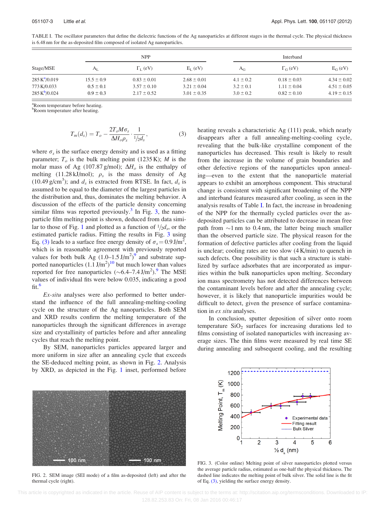| Stage/MSE                          | <b>NPP</b>     |                       |                 | Interband     |                            |                 |
|------------------------------------|----------------|-----------------------|-----------------|---------------|----------------------------|-----------------|
|                                    | $A_I$          | $\Gamma_{\rm L}$ (eV) | $E_L$ (eV)      | $A_G$         | $\Gamma$ <sub>G</sub> (eV) | $E_G$ (eV)      |
| $285 \text{ K}^2 / 0.019$          | $15.5 \pm 0.9$ | $0.83 \pm 0.01$       | $2.68 \pm 0.01$ | $4.1 \pm 0.2$ | $0.18 \pm 0.03$            | $4.34 \pm 0.02$ |
| 773 K/0.033                        | $0.5 \pm 0.1$  | $3.57 \pm 0.10$       | $3.21 \pm 0.04$ | $3.2 \pm 0.1$ | $1.11 \pm 0.04$            | $4.51 \pm 0.05$ |
| $285 \text{ K}^{\text{b}} / 0.024$ | $0.9 \pm 0.3$  | $2.17 \pm 0.52$       | $3.01 \pm 0.35$ | $3.0 \pm 0.2$ | $0.82 \pm 0.10$            | $4.19 \pm 0.15$ |

<span id="page-4-0"></span>TABLE I. The oscillator parameters that define the dielectric functions of the Ag nanoparticles at different stages in the thermal cycle. The physical thickness is 6.48 nm for the as-deposited film composed of isolated Ag nanoparticles.

<sup>a</sup>Room temperature before heating.

**PRoom temperature after heating.** 

$$
T_m(d_s) = T_o - \frac{2T_o M \sigma_s}{\Delta H_o \rho_s} \cdot \frac{1}{1/2d_s},\tag{3}
$$

where  $\sigma_s$  is the surface energy density and is used as a fitting parameter;  $T<sub>o</sub>$  is the bulk melting point (1235 K); M is the molar mass of Ag (107.87 g/mol);  $\Delta H_o$  is the enthalpy of melting (11.28 kJ/mol);  $\rho_s$  is the mass density of Ag (10.49 g/cm<sup>3</sup>); and  $d_s$  is extracted from RTSE. In fact,  $d_s$  is assumed to be equal to the diameter of the largest particles in the distribution and, thus, dominates the melting behavior. A discussion of the effects of the particle density concerning similar films was reported previously.<sup>[3](#page-5-0)</sup> In Fig. 3, the nanoparticle film melting point is shown, deduced from data simi-lar to those of Fig. [1](#page-3-0) and plotted as a function of  $\frac{1}{2}d_s$ , or the estimated particle radius. Fitting the results in Fig. 3 using Eq. [\(3\)](#page-3-0) leads to a surface free energy density of  $\sigma_s = 0.9 \text{ J/m}^2$ , which is in reasonable agreement with previously reported values for both bulk Ag  $(1.0-1.5 \text{ J/m}^2)^9$  $(1.0-1.5 \text{ J/m}^2)^9$  and substrate supported nanoparticles  $(1.1 \text{ J/m}^2)^{10}$  $(1.1 \text{ J/m}^2)^{10}$  $(1.1 \text{ J/m}^2)^{10}$  but much lower than values reported for free nanoparticles  $(\sim 6.4 - 7.4 \text{ J/m}^2)$ . The MSE values of individual fits were below 0.035, indicating a good  $fit.<sup>6</sup>$  $fit.<sup>6</sup>$  $fit.<sup>6</sup>$ 

Ex-situ analyses were also performed to better understand the influence of the full annealing-melting-cooling cycle on the structure of the Ag nanoparticles. Both SEM and XRD results confirm the melting temperature of the nanoparticles through the significant differences in average size and crystallinity of particles before and after annealing cycles that reach the melting point.

By SEM, nanoparticles particles appeared larger and more uniform in size after an annealing cycle that exceeds the SE-deduced melting point, as shown in Fig. 2. Analysis by XRD, as depicted in the Fig. [1](#page-3-0) inset, performed before heating reveals a characteristic Ag (111) peak, which nearly disappears after a full annealing-melting-cooling cycle, revealing that the bulk-like crystalline component of the nanoparticles has decreased. This result is likely to result from the increase in the volume of grain boundaries and other defective regions of the nanoparticles upon annealing—even to the extent that the nanoparticle material appears to exhibit an amorphous component. This structural change is consistent with significant broadening of the NPP and interband features measured after cooling, as seen in the analysis results of Table I. In fact, the increase in broadening of the NPP for the thermally cycled particles over the asdeposited particles can be attributed to decrease in mean free path from  $\sim$ 1 nm to 0.4 nm, the latter being much smaller than the observed particle size. The physical reason for the formation of defective particles after cooling from the liquid is unclear; cooling rates are too slow (4 K/min) to quench in such defects. One possibility is that such a structure is stabilized by surface adsorbates that are incorporated as impurities within the bulk nanoparticles upon melting. Secondary ion mass spectrometry has not detected differences between the contaminant levels before and after the annealing cycle; however, it is likely that nanoparticle impurities would be difficult to detect, given the presence of surface contamination in *ex situ* analyses.

In conclusion, sputter deposition of silver onto room temperature  $SiO<sub>2</sub>$  surfaces for increasing durations led to films consisting of isolated nanoparticles with increasing average sizes. The thin films were measured by real time SE during annealing and subsequent cooling, and the resulting



FIG. 2. SEM image (SEI mode) of a film as-deposited (left) and after the thermal cycle (right).



FIG. 3. (Color online) Melting point of silver nanoparticles plotted versus the average particle radius, estimated as one-half the physical thickness. The dashed line indicates the melting point of bulk silver. The solid line is the fit of Eq. [\(3\),](#page-3-0) yielding the surface energy density.

 This article is copyrighted as indicated in the article. Reuse of AIP content is subject to the terms at: http://scitation.aip.org/termsconditions. Downloaded to IP: 128.82.253.83 On: Fri, 08 Jan 2016 00:46:17